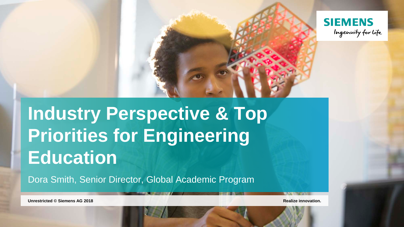

# **Industry Perspective & Top Priorities for Engineering Education**

Dora Smith, Senior Director, Global Academic Program

**Unrestricted © Siemens AG 2018 Realize innovation.**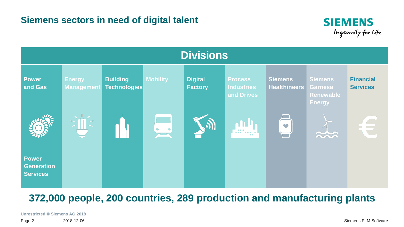



## **372,000 people, 200 countries, 289 production and manufacturing plants**

**Unrestricted © Siemens AG 2018**

Page 2 2018-12-06 Siemens PLM Software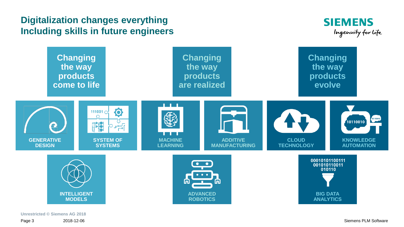### **Digitalization changes everything Including skills in future engineers**





**Unrestricted © Siemens AG 2018**

Page 3 2018-12-06 Siemens PLM Software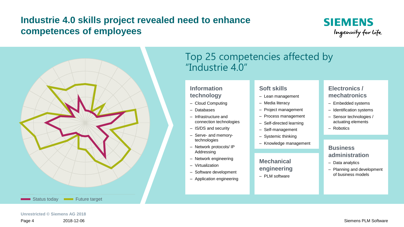## **Industrie 4.0 skills project revealed need to enhance competences of employees**





## Top 25 competencies affected by "Industrie 4.0"

#### **Information technology**

- ‒ Cloud Computing
- ‒ Databases
- ‒ Infrastructure and connection technologies
- ‒ IS/DS and security
- ‒ Serve- and memorytechnologies
- ‒ Network protocols/ IP Addressing
- ‒ Network engineering
- ‒ Virtualization
- ‒ Software development
- Application engineering

#### **Soft skills**

- Lean management
- Media literacy
- ‒ Project management
- ‒ Process management
- ‒ Self-directed learning
- Self-management
- ‒ Systemic thinking
- Knowledge management

#### **Mechanical engineering**

‒ PLM software

#### **Electronics / mechatronics**

- ‒ Embedded systems
- Identification systems
- Sensor technologies / actuating elements
- ‒ Robotics

#### **Business administration**

- Data analytics
- Planning and development of business models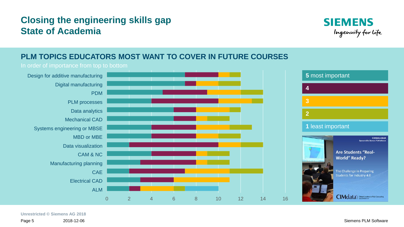## **Closing the engineering skills gap State of Academia**



### **PLM TOPICS EDUCATORS MOST WANT TO COVER IN FUTURE COURSES**



**Unrestricted © Siemens AG 2018**

Page 5 2018-12-06 Siemens PLM Software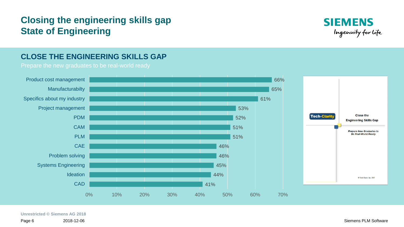## **Closing the engineering skills gap State of Engineering**



#### **CLOSE THE ENGINEERING SKILLS GAP**



#### **Unrestricted © Siemens AG 2018**

Page 6 2018-12-06 Siemens PLM Software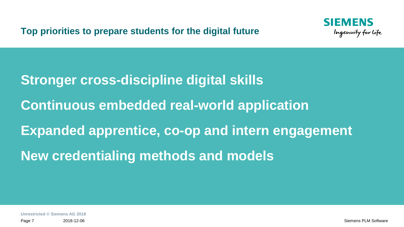**Top priorities to prepare students for the digital future**



**Stronger cross-discipline digital skills Continuous embedded real-world application Expanded apprentice, co-op and intern engagement New credentialing methods and models**

**Unrestricted © Siemens AG 2018**